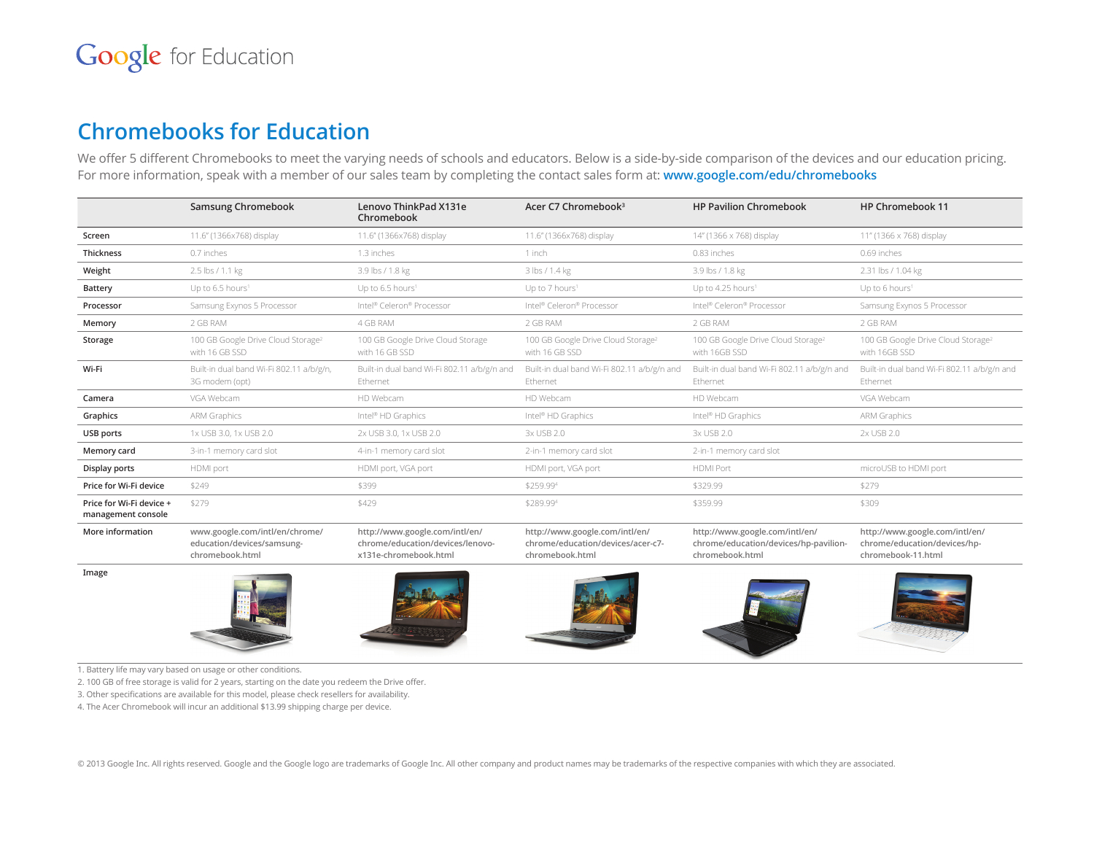### **Chromebooks for Education**

We offer 5 different Chromebooks to meet the varying needs of schools and educators. Below is a side-by-side comparison of the devices and our education pricing. For more information, speak with a member of our sales team by completing the contact sales form at: **www.google.com/edu/chromebooks**

|                                                | Samsung Chromebook                                                              | Lenovo ThinkPad X131e<br>Chromebook                                                         | Acer C7 Chromebook <sup>3</sup>                                                        | <b>HP Pavilion Chromebook</b>                                                              | HP Chromebook 11                                                                     |
|------------------------------------------------|---------------------------------------------------------------------------------|---------------------------------------------------------------------------------------------|----------------------------------------------------------------------------------------|--------------------------------------------------------------------------------------------|--------------------------------------------------------------------------------------|
| Screen                                         | 11.6" (1366x768) display                                                        | 11.6" (1366x768) display                                                                    | 11.6" (1366x768) display                                                               | 14" (1366 x 768) display                                                                   | 11" (1366 x 768) display                                                             |
| <b>Thickness</b>                               | 0.7 inches                                                                      | 1.3 inches                                                                                  | 1 inch                                                                                 | 0.83 inches                                                                                | 0.69 inches                                                                          |
| Weight                                         | 2.5 lbs / 1.1 kg                                                                | 3.9 lbs / 1.8 kg                                                                            | 3 lbs / 1.4 kg                                                                         | 3.9 lbs / 1.8 kg                                                                           | 2.31 lbs / 1.04 kg                                                                   |
| <b>Battery</b>                                 | Up to 6.5 hours <sup>1</sup>                                                    | Up to 6.5 hours <sup>1</sup>                                                                | Up to 7 hours <sup>1</sup>                                                             | Up to 4.25 hours <sup>1</sup>                                                              | Up to 6 hours <sup>1</sup>                                                           |
| Processor                                      | Samsung Exynos 5 Processor                                                      | Intel® Celeron® Processor                                                                   | Intel® Celeron® Processor                                                              | Intel® Celeron® Processor                                                                  | Samsung Exynos 5 Processor                                                           |
| Memory                                         | 2 GB RAM                                                                        | 4 GB RAM                                                                                    | 2 GB RAM                                                                               | 2 GB RAM                                                                                   | 2 GB RAM                                                                             |
| Storage                                        | 100 GB Google Drive Cloud Storage <sup>2</sup><br>with 16 GB SSD                | 100 GB Google Drive Cloud Storage<br>with 16 GB SSD                                         | 100 GB Google Drive Cloud Storage <sup>2</sup><br>with 16 GB SSD                       | 100 GB Google Drive Cloud Storage <sup>2</sup><br>with 16GB SSD                            | 100 GB Google Drive Cloud Storage <sup>2</sup><br>with 16GB SSD                      |
| Wi-Fi                                          | Built-in dual band Wi-Fi 802.11 a/b/g/n,<br>3G modem (opt)                      | Built-in dual band Wi-Fi 802.11 a/b/g/n and<br>Ethernet                                     | Built-in dual band Wi-Fi 802.11 a/b/g/n and<br>Ethernet                                | Built-in dual band Wi-Fi 802.11 a/b/g/n and<br>Ethernet                                    | Built-in dual band Wi-Fi 802.11 a/b/g/n and<br>Ethernet                              |
| Camera                                         | VGA Webcam                                                                      | HD Webcam                                                                                   | HD Webcam                                                                              | HD Webcam                                                                                  | VGA Webcam                                                                           |
| Graphics                                       | <b>ARM Graphics</b>                                                             | Intel® HD Graphics                                                                          | Intel® HD Graphics                                                                     | Intel® HD Graphics                                                                         | ARM Graphics                                                                         |
| USB ports                                      | 1x USB 3.0, 1x USB 2.0                                                          | 2x USB 3.0, 1x USB 2.0                                                                      | 3x USB 2.0                                                                             | 3x USB 2.0                                                                                 | 2x USB 2.0                                                                           |
| Memory card                                    | 3-in-1 memory card slot                                                         | 4-in-1 memory card slot                                                                     | 2-in-1 memory card slot                                                                | 2-in-1 memory card slot                                                                    |                                                                                      |
| Display ports                                  | HDMI port                                                                       | HDMI port, VGA port                                                                         | HDMI port, VGA port                                                                    | <b>HDMI Port</b>                                                                           | microUSB to HDMI port                                                                |
| Price for Wi-Fi device                         | \$249                                                                           | \$399                                                                                       | \$259.994                                                                              | \$329.99                                                                                   | \$279                                                                                |
| Price for Wi-Fi device +<br>management console | \$279                                                                           | \$429                                                                                       | \$289.994                                                                              | \$359.99                                                                                   | \$309                                                                                |
| More information                               | www.google.com/intl/en/chrome/<br>education/devices/samsung-<br>chromebook.html | http://www.google.com/intl/en/<br>chrome/education/devices/lenovo-<br>x131e-chromebook.html | http://www.google.com/intl/en/<br>chrome/education/devices/acer-c7-<br>chromebook.html | http://www.google.com/intl/en/<br>chrome/education/devices/hp-pavilion-<br>chromebook.html | http://www.google.com/intl/en/<br>chrome/education/devices/hp-<br>chromebook-11.html |
| Image                                          |                                                                                 |                                                                                             |                                                                                        |                                                                                            |                                                                                      |

1. Battery life may vary based on usage or other conditions.

2. 100 GB of free storage is valid for 2 years, starting on the date you redeem the Drive offer.

3. Other specifications are available for this model, please check resellers for availability.

4. The Acer Chromebook will incur an additional \$13.99 shipping charge per device.

© 2013 Google Inc. All rights reserved. Google and the Google logo are trademarks of Google Inc. All other company and product names may be trademarks of the respective companies with which they are associated.